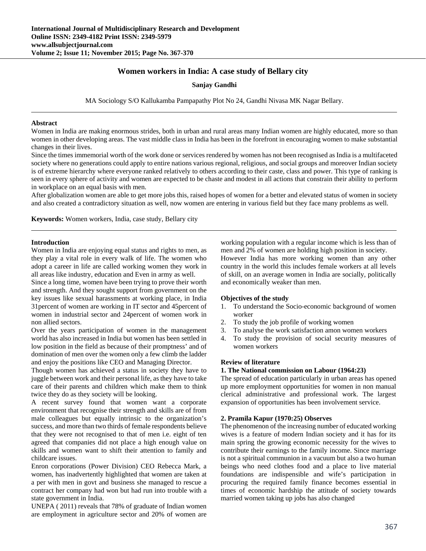# **Women workers in India: A case study of Bellary city**

**Sanjay Gandhi**

MA Sociology S/O Kallukamba Pampapathy Plot No 24, Gandhi Nivasa MK Nagar Bellary.

#### **Abstract**

Women in India are making enormous strides, both in urban and rural areas many Indian women are highly educated, more so than women in other developing areas. The vast middle class in India has been in the forefront in encouraging women to make substantial changes in their lives.

Since the times immemorial worth of the work done or services rendered by women has not been recognised as India is a multifaceted society where no generations could apply to entire nations various regional, religious, and social groups and moreover Indian society is of extreme hierarchy where everyone ranked relatively to others according to their caste, class and power. This type of ranking is seen in every sphere of activity and women are expected to be chaste and modest in all actions that constrain their ability to perform in workplace on an equal basis with men.

After globalization women are able to get more jobs this, raised hopes of women for a better and elevated status of women in society and also created a contradictory situation as well, now women are entering in various field but they face many problems as well.

**Keywords:** Women workers, India, case study, Bellary city

#### **Introduction**

Women in India are enjoying equal status and rights to men, as they play a vital role in every walk of life. The women who adopt a career in life are called working women they work in all areas like industry, education and Even in army as well.

Since a long time, women have been trying to prove their worth and strength. And they sought support from government on the key issues like sexual harassments at working place, in India 31percent of women are working in IT sector and 45percent of women in industrial sector and 24percent of women work in non allied sectors.

Over the years participation of women in the management world has also increased in India but women has been settled in low position in the field as because of their promptness' and of domination of men over the women only a few climb the ladder and enjoy the positions like CEO and Managing Director.

Though women has achieved a status in society they have to juggle between work and their personal life, as they have to take care of their parents and children which make them to think twice they do as they society will be looking.

A recent survey found that women want a corporate environment that recognise their strength and skills are of from male colleagues but equally intrinsic to the organization's success, and more than two thirds of female respondents believe that they were not recognised to that of men i.e. eight of ten agreed that companies did not place a high enough value on skills and women want to shift their attention to family and childcare issues.

Enron corporations (Power Division) CEO Rebecca Mark, a women, has inadvertently highlighted that women are taken at a per with men in govt and business she managed to rescue a contract her company had won but had run into trouble with a state government in India.

UNEPA ( 2011) reveals that 78% of graduate of Indian women are employment in agriculture sector and 20% of women are

working population with a regular income which is less than of men and 2% of women are holding high position in society. However India has more working women than any other country in the world this includes female workers at all levels of skill, on an average women in India are socially, politically and economically weaker than men.

### **Objectives of the study**

- 1. To understand the Socio-economic background of women worker
- 2. To study the job profile of working women
- 3. To analyse the work satisfaction amon women workers
- 4. To study the provision of social security measures of women workers

#### **Review of literature**

#### **1. The National commission on Labour (1964:23)**

The spread of education particularly in urban areas has opened up more employment opportunities for women in non manual clerical administrative and professional work. The largest expansion of opportunities has been involvement service.

#### **2. Pramila Kapur (1970:25) Observes**

The phenomenon of the increasing number of educated working wives is a feature of modern Indian society and it has for its main spring the growing economic necessity for the wives to contribute their earnings to the family income. Since marriage is not a spiritual communion in a vacuum but also a two human beings who need clothes food and a place to live material foundations are indispensible and wife's participation in procuring the required family finance becomes essential in times of economic hardship the attitude of society towards married women taking up jobs has also changed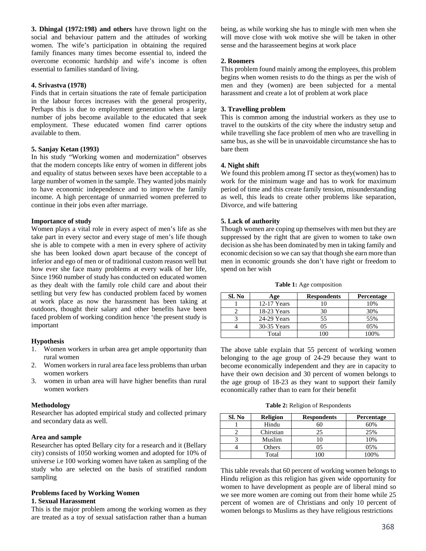**3. Dhingal (1972:198) and others** have thrown light on the social and behaviour pattern and the attitudes of working women. The wife's participation in obtaining the required family finances many times become essential to, indeed the overcome economic hardship and wife's income is often essential to families standard of living.

### **4. Srivastva (1978)**

Finds that in certain situations the rate of female participation in the labour forces increases with the general prosperity, Perhaps this is due to employment generation when a large number of jobs become available to the educated that seek employment. These educated women find carrer options available to them.

### **5. Sanjay Ketan (1993)**

In his study "Working women and modernization" observes that the modern concepts like entry of women in different jobs and equality of status between sexes have been acceptable to a large number of women in the sample. They wanted jobs mainly to have economic independence and to improve the family income. A high percentage of unmarried women preferred to continue in their jobs even after marriage.

### **Importance of study**

Women plays a vital role in every aspect of men's life as she take part in every sector and every stage of men's life though she is able to compete with a men in every sphere of activity she has been looked down apart because of the concept of inferior and ego of men or of traditional custom reason well but how ever she face many problems at every walk of her life, Since 1960 number of study has conducted on educated women as they dealt with the family role child care and about their settling but very few has conducted problem faced by women at work place as now the harassment has been taking at outdoors, thought their salary and other benefits have been faced problem of working condition hence 'the present study is important

# **Hypothesis**

- 1. Women workers in urban area get ample opportunity than rural women
- 2. Women workers in rural area face less problems than urban women workers
- 3. women in urban area will have higher benefits than rural women workers

#### **Methodology**

Researcher has adopted empirical study and collected primary and secondary data as well.

#### **Area and sample**

Researcher has opted Bellary city for a research and it (Bellary city) consists of 1050 working women and adopted for 10% of universe i.e 100 working women have taken as sampling of the study who are selected on the basis of stratified random sampling

#### **Problems faced by Working Women 1. Sexual Harassment**

This is the major problem among the working women as they are treated as a toy of sexual satisfaction rather than a human being, as while working she has to mingle with men when she will move close with wok motive she will be taken in other sense and the harasseement begins at work place

### **2. Roomers**

This problem found mainly among the employees, this problem begins when women resists to do the things as per the wish of men and they (women) are been subjected for a mental harassment and create a lot of problem at work place

### **3. Travelling problem**

This is common among the industrial workers as they use to travel to the outskirts of the city where the industry setup and while travelling she face problem of men who are travelling in same bus, as she will be in unavoidable circumstance she has to bare them

### **4. Night shift**

We found this problem among IT sector as they(women) has to work for the minimum wage and has to work for maximum period of time and this create family tension, misunderstanding as well, this leads to create other problems like separation, Divorce, and wife battering

#### **5. Lack of authority**

Though women are coping up themselves with men but they are suppressed by the right that are given to women to take own decision as she has been dominated by men in taking family and economic decision so we can say that though she earn more than men in economic grounds she don't have right or freedom to spend on her wish

**Table 1:** Age composition

| Sl. No | Age         | <b>Respondents</b> | Percentage |
|--------|-------------|--------------------|------------|
|        | 12-17 Years |                    | 10%        |
|        | 18-23 Years | 30                 | 30%        |
|        | 24-29 Years | 55                 | 55%        |
|        | 30-35 Years | 05                 | $0.5\%$    |
|        | Total       |                    | 100%       |

The above table explain that 55 percent of working women belonging to the age group of 24-29 because they want to become economically independent and they are in capacity to have their own decision and 30 percent of women belongs to the age group of 18-23 as they want to support their family economically rather than to earn for their benefit

**Table 2:** Religion of Respondents

| Sl. No | <b>Religion</b> | <b>Respondents</b> | <b>Percentage</b> |
|--------|-----------------|--------------------|-------------------|
|        | Hindu           | 50                 | 60%               |
|        | Chirstian       | 25                 | 25%               |
|        | Muslim          |                    | 10%               |
|        | Others          | 05                 | $0.5\%$           |
|        | Total           |                    | 100%              |

This table reveals that 60 percent of working women belongs to Hindu religion as this religion has given wide opportunity for women to have development as people are of liberal mind so we see more women are coming out from their home while 25 percent of women are of Christians and only 10 percent of women belongs to Muslims as they have religious restrictions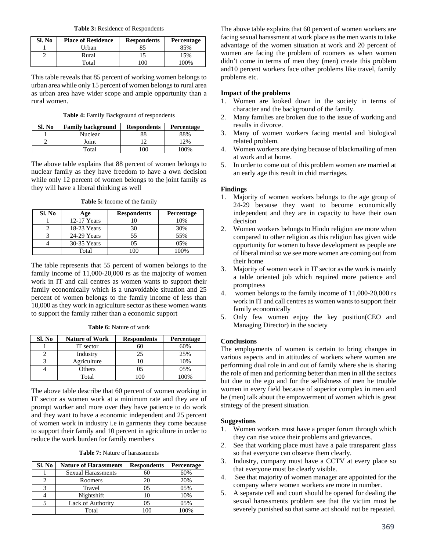**Table 3:** Residence of Respondents

| Sl. No | <b>Place of Residence</b> | <b>Respondents</b> | <b>Percentage</b> |
|--------|---------------------------|--------------------|-------------------|
|        | Urban                     | 85                 | 85%               |
|        | Rural                     |                    | 15%               |
|        | Total                     | 100                | 100%              |

This table reveals that 85 percent of working women belongs to urban area while only 15 percent of women belongs to rural area as urban area have wider scope and ample opportunity than a rural women.

**Table 4:** Family Background of respondents

| Sl. No | <b>Family background</b> | <b>Respondents</b> | Percentage |
|--------|--------------------------|--------------------|------------|
|        | Nuclear                  | 88                 | 88%        |
|        | Joint                    |                    | 2%         |
|        | Total                    | '00                | 100%       |

The above table explains that 88 percent of women belongs to nuclear family as they have freedom to have a own decision while only 12 percent of women belongs to the joint family as they will have a liberal thinking as well

**Table 5:** Income of the family

| Sl. No | Age         | <b>Respondents</b> | Percentage |
|--------|-------------|--------------------|------------|
|        | 12-17 Years |                    | 10%        |
|        | 18-23 Years | 30                 | 30%        |
|        | 24-29 Years | 55                 | 55%        |
|        | 30-35 Years |                    | 0.5%       |
|        | Total       |                    | $00\%$     |

The table represents that 55 percent of women belongs to the family income of 11,000-20,000 rs as the majority of women work in IT and call centres as women wants to support their family economically which is a unavoidable situation and 25 percent of women belongs to the family income of less than 10,000 as they work in agriculture sector as these women wants to support the family rather than a economic support

| Sl. No | <b>Nature of Work</b> | <b>Respondents</b> | Percentage |
|--------|-----------------------|--------------------|------------|
|        | IT sector             | 60                 | 60%        |
|        | Industry              | 25                 | 25%        |
|        | Agriculture           |                    | 10%        |
|        | Others                | )5                 | 05%        |
|        | Total                 |                    | $00\%$     |

The above table describe that 60 percent of women working in IT sector as women work at a minimum rate and they are of prompt worker and more over they have patience to do work and they want to have a economic independent and 25 percent of women work in industry i.e in garments they come because to support their family and 10 percent in agriculture in order to reduce the work burden for family members

|  | <b>Table 7:</b> Nature of harassments |
|--|---------------------------------------|
|--|---------------------------------------|

| Sl. No | <b>Nature of Harassments</b> | <b>Respondents</b> | Percentage |
|--------|------------------------------|--------------------|------------|
|        | <b>Sexual Harassments</b>    | 60                 | 60%        |
|        | Roomers                      | 20                 | 20%        |
|        | Travel                       | 05                 | 05%        |
|        | Nightshift                   | 10                 | 10%        |
|        | Lack of Authority            | 05                 | 05%        |
|        | Total                        |                    | 100%       |

The above table explains that 60 percent of women workers are facing sexual harassment at work place as the men wants to take advantage of the women situation at work and 20 percent of women are facing the problem of roomers as when women didn't come in terms of men they (men) create this problem and10 percent workers face other problems like travel, family problems etc.

### **Impact of the problems**

- 1. Women are looked down in the society in terms of character and the background of the family.
- 2. Many families are broken due to the issue of working and results in divorce.
- 3. Many of women workers facing mental and biological related problem.
- 4. Women workers are dying because of blackmailing of men at work and at home.
- 5. In order to come out of this problem women are married at an early age this result in chid marriages.

# **Findings**

- 1. Majority of women workers belongs to the age group of 24-29 because they want to become economically independent and they are in capacity to have their own decision
- 2. Women workers belongs to Hindu religion are more when compared to other religion as this religion has given wide opportunity for women to have development as people are of liberal mind so we see more women are coming out from their home
- 3. Majority of women work in IT sector as the work is mainly a table oriented job which required more patience and promptness
- 4. women belongs to the family income of 11,000-20,000 rs work in IT and call centres as women wants to support their family economically
- 5. Only few women enjoy the key position(CEO and Managing Director) in the society

# **Conclusions**

The employments of women is certain to bring changes in various aspects and in attitudes of workers where women are performing dual role in and out of family where she is sharing the role of men and performing better than men in all the sectors but due to the ego and for the selfishness of men he trouble women in every field because of superior complex in men and he (men) talk about the empowerment of women which is great strategy of the present situation.

# **Suggestions**

- 1. Women workers must have a proper forum through which they can rise voice their problems and grievances.
- 2. See that working place must have a pale transparent glass so that everyone can observe them clearly.
- 3. Industry, company must have a CCTV at every place so that everyone must be clearly visible.
- 4. See that majority of women manager are appointed for the company where women workers are more in number.
- 5. A separate cell and court should be opened for dealing the sexual harassments problem see that the victim must be severely punished so that same act should not be repeated.